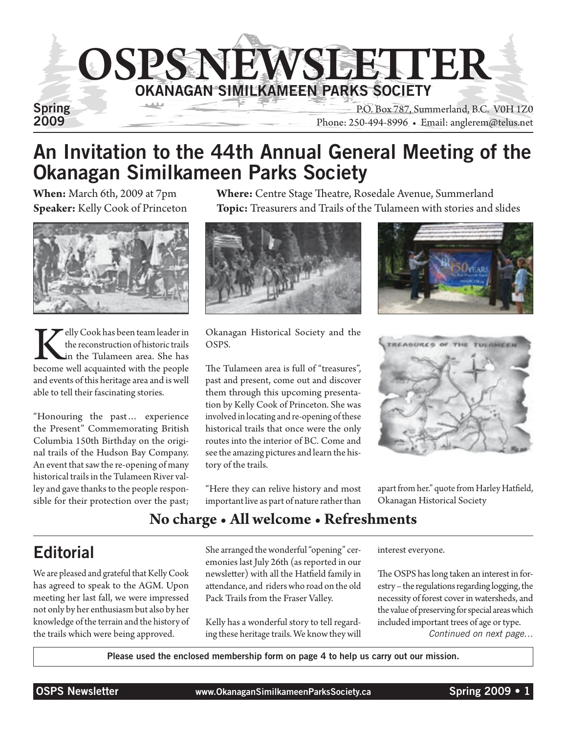

## An Invitation to the 44th Annual General Meeting of the Okanagan Similkameen Parks Society

**When:** March 6th, 2009 at 7pm **Where:** Centre Stage Theatre, Rosedale Avenue, Summerland **Speaker:** Kelly Cook of Princeton **Topic:** Treasurers and Trails of the Tulameen with stories and slides



Kelly Cook has been team leader in<br>the reconstruction of historic trails<br>become well acquainted with the people the reconstruction of historic trails in the Tulameen area. She has and events of this heritage area and is well able to tell their fascinating stories.

"Honouring the past… experience the Present" Commemorating British Columbia 150th Birthday on the original trails of the Hudson Bay Company. An event that saw the re-opening of many historical trails in the Tulameen River valley and gave thanks to the people responsible for their protection over the past;



Okanagan Historical Society and the OSPS.

The Tulameen area is full of "treasures", past and present, come out and discover them through this upcoming presentation by Kelly Cook of Princeton. She was involved in locating and re-opening of these historical trails that once were the only routes into the interior of BC. Come and see the amazing pictures and learn the history of the trails.

"Here they can relive history and most important live as part of nature rather than





apart from her." quote from Harley Hatfield, Okanagan Historical Society

### **No charge • All welcome • Refreshments**

## **Editorial**

We are pleased and grateful that Kelly Cook has agreed to speak to the AGM. Upon meeting her last fall, we were impressed not only by her enthusiasm but also by her knowledge of the terrain and the history of the trails which were being approved.

She arranged the wonderful "opening" ceremonies last July 26th (as reported in our newsletter) with all the Hatfield family in attendance, and riders who road on the old Pack Trails from the Fraser Valley.

Kelly has a wonderful story to tell regarding these heritage trails. We know they will interest everyone.

The OSPS has long taken an interest in forestry – the regulations regarding logging, the necessity of forest cover in watersheds, and the value of preserving for special areas which included important trees of age or type. *Continued on next page…*

Please used the enclosed membership form on page 4 to help us carry out our mission.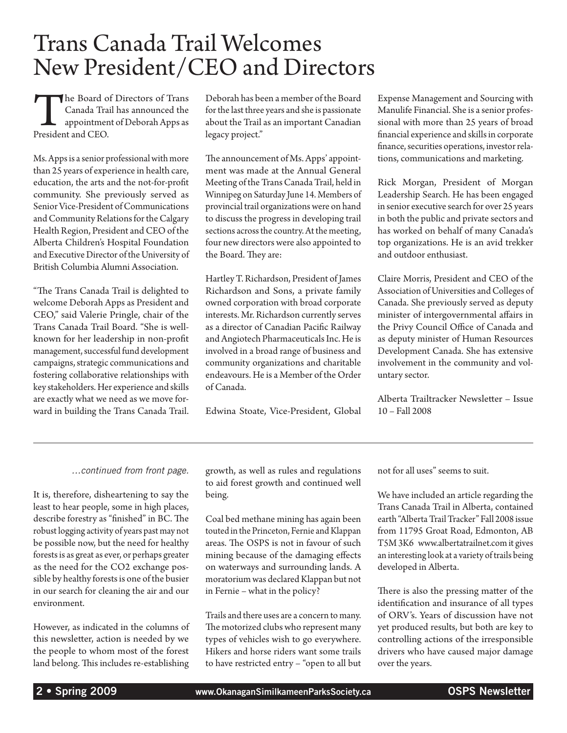# Trans Canada Trail Welcomes New President/CEO and Directors

The Board of Directors of Trans<br>Canada Trail has announced the<br>appointment of Deborah Apps as<br>President and CEO. Canada Trail has announced the appointment of Deborah Apps as President and CEO.

Ms. Apps is a senior professional with more than 25 years of experience in health care, education, the arts and the not-for-profit community. She previously served as Senior Vice-President of Communications and Community Relations for the Calgary Health Region, President and CEO of the Alberta Children's Hospital Foundation and Executive Director of the University of British Columbia Alumni Association.

"The Trans Canada Trail is delighted to welcome Deborah Apps as President and CEO," said Valerie Pringle, chair of the Trans Canada Trail Board. "She is wellknown for her leadership in non-profit management, successful fund development campaigns, strategic communications and fostering collaborative relationships with key stakeholders. Her experience and skills are exactly what we need as we move forward in building the Trans Canada Trail. Deborah has been a member of the Board for the last three years and she is passionate about the Trail as an important Canadian legacy project."

The announcement of Ms. Apps' appointment was made at the Annual General Meeting of the Trans Canada Trail, held in Winnipeg on Saturday June 14. Members of provincial trail organizations were on hand to discuss the progress in developing trail sections across the country. At the meeting, four new directors were also appointed to the Board. They are:

Hartley T. Richardson, President of James Richardson and Sons, a private family owned corporation with broad corporate interests. Mr. Richardson currently serves as a director of Canadian Pacific Railway and Angiotech Pharmaceuticals Inc. He is involved in a broad range of business and community organizations and charitable endeavours. He is a Member of the Order of Canada.

Edwina Stoate, Vice-President, Global

Expense Management and Sourcing with Manulife Financial. She is a senior professional with more than 25 years of broad financial experience and skills in corporate finance, securities operations, investor relations, communications and marketing.

Rick Morgan, President of Morgan Leadership Search. He has been engaged in senior executive search for over 25 years in both the public and private sectors and has worked on behalf of many Canada's top organizations. He is an avid trekker and outdoor enthusiast.

Claire Morris, President and CEO of the Association of Universities and Colleges of Canada. She previously served as deputy minister of intergovernmental affairs in the Privy Council Office of Canada and as deputy minister of Human Resources Development Canada. She has extensive involvement in the community and voluntary sector.

Alberta Trailtracker Newsletter – Issue 10 – Fall 2008

#### *…continued from front page.*

It is, therefore, disheartening to say the least to hear people, some in high places, describe forestry as "finished" in BC. The robust logging activity of years past may not be possible now, but the need for healthy forests is as great as ever, or perhaps greater as the need for the CO2 exchange possible by healthy forests is one of the busier in our search for cleaning the air and our environment.

However, as indicated in the columns of this newsletter, action is needed by we the people to whom most of the forest land belong. This includes re-establishing growth, as well as rules and regulations to aid forest growth and continued well being.

Coal bed methane mining has again been touted in the Princeton, Fernie and Klappan areas. The OSPS is not in favour of such mining because of the damaging effects on waterways and surrounding lands. A moratorium was declared Klappan but not in Fernie – what in the policy?

Trails and there uses are a concern to many. The motorized clubs who represent many types of vehicles wish to go everywhere. Hikers and horse riders want some trails to have restricted entry – "open to all but not for all uses" seems to suit.

We have included an article regarding the Trans Canada Trail in Alberta, contained earth "Alberta Trail Tracker" Fall 2008 issue from 11795 Groat Road, Edmonton, AB T5M 3K6 www.albertatrailnet.com it gives an interesting look at a variety of trails being developed in Alberta.

There is also the pressing matter of the identification and insurance of all types of ORV's. Years of discussion have not yet produced results, but both are key to controlling actions of the irresponsible drivers who have caused major damage over the years.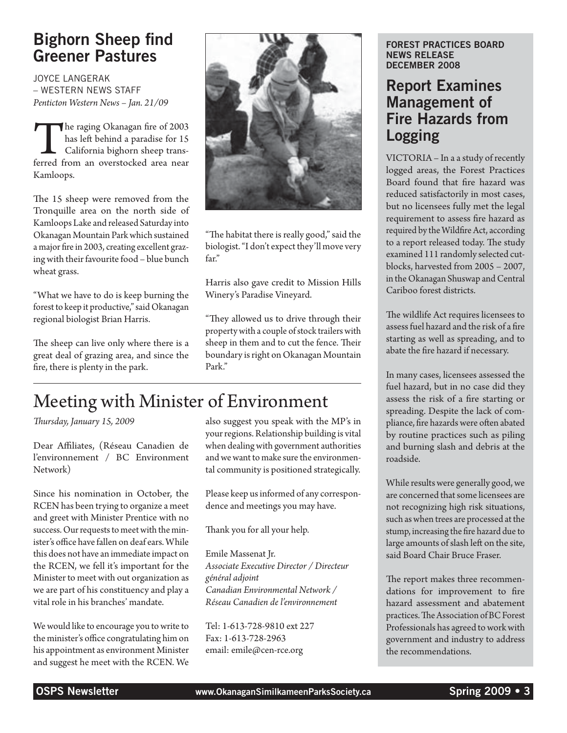### Bighorn Sheep find Greener Pastures

Joyce Langerak – Western News Staff *Penticton Western News – Jan. 21/09*

The raging Okanagan fire of 2003<br>has left behind a paradise for 15<br>California bighorn sheep trans-<br>ferred from an overstocked area near has left behind a paradise for 15 California bighorn sheep trans-Kamloops.

The 15 sheep were removed from the Tronquille area on the north side of Kamloops Lake and released Saturday into Okanagan Mountain Park which sustained a major fire in 2003, creating excellent grazing with their favourite food – blue bunch wheat grass.

"What we have to do is keep burning the forest to keep it productive," said Okanagan regional biologist Brian Harris.

The sheep can live only where there is a great deal of grazing area, and since the fire, there is plenty in the park.



"The habitat there is really good," said the biologist. "I don't expect they'll move very far."

Harris also gave credit to Mission Hills Winery's Paradise Vineyard.

"They allowed us to drive through their property with a couple of stock trailers with sheep in them and to cut the fence. Their boundary is right on Okanagan Mountain Park."

## Meeting with Minister of Environment

*Thursday, January 15, 2009*

Dear Affiliates, (Réseau Canadien de l'environnement / BC Environment Network)

Since his nomination in October, the RCEN has been trying to organize a meet and greet with Minister Prentice with no success. Our requests to meet with the minister's office have fallen on deaf ears. While this does not have an immediate impact on the RCEN, we fell it's important for the Minister to meet with out organization as we are part of his constituency and play a vital role in his branches' mandate.

We would like to encourage you to write to the minister's office congratulating him on his appointment as environment Minister and suggest he meet with the RCEN. We

also suggest you speak with the MP's in your regions. Relationship building is vital when dealing with government authorities and we want to make sure the environmental community is positioned strategically.

Please keep us informed of any correspondence and meetings you may have.

Thank you for all your help.

Emile Massenat Jr. *Associate Executive Director / Directeur général adjoint Canadian Environmental Network / Réseau Canadien de l'environnement*

Tel: 1-613-728-9810 ext 227 Fax: 1-613-728-2963 email: emile@cen-rce.org

#### Forest Practices Board News Release December 2008

### Report Examines Management of Fire Hazards from Logging

VICTORIA – In a a study of recently logged areas, the Forest Practices Board found that fire hazard was reduced satisfactorily in most cases, but no licensees fully met the legal requirement to assess fire hazard as required by the Wildfire Act, according to a report released today. The study examined 111 randomly selected cutblocks, harvested from 2005 – 2007, in the Okanagan Shuswap and Central Cariboo forest districts.

The wildlife Act requires licensees to assess fuel hazard and the risk of a fire starting as well as spreading, and to abate the fire hazard if necessary.

In many cases, licensees assessed the fuel hazard, but in no case did they assess the risk of a fire starting or spreading. Despite the lack of compliance, fire hazards were often abated by routine practices such as piling and burning slash and debris at the roadside.

While results were generally good, we are concerned that some licensees are not recognizing high risk situations, such as when trees are processed at the stump, increasing the fire hazard due to large amounts of slash left on the site, said Board Chair Bruce Fraser.

The report makes three recommendations for improvement to fire hazard assessment and abatement practices. The Association of BC Forest Professionals has agreed to work with government and industry to address the recommendations.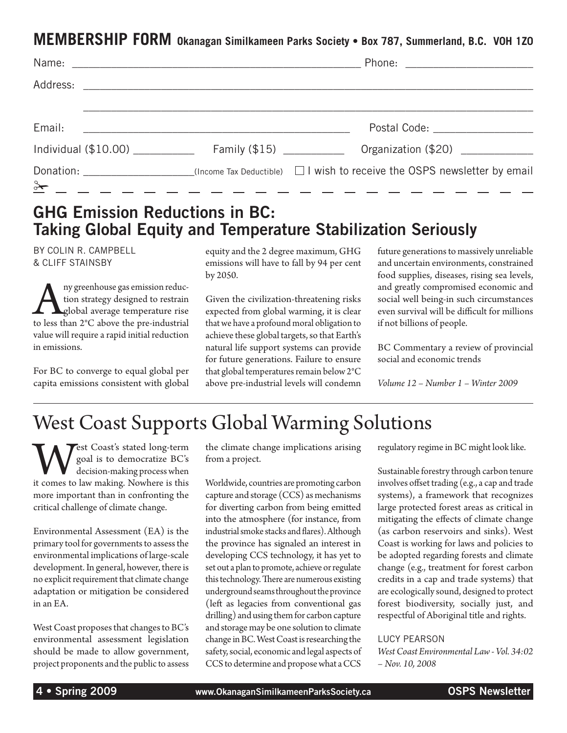### **MEMBERSHIP FORM Okanagan Similkameen Parks Society • Box 787, Summerland, B.C. V0H 1Z0**

| Email:                                 | <u> 1980 - Jan Barbara, martxa al III-lea (h. 1980).</u> | Postal Code: ____________________                                                              |
|----------------------------------------|----------------------------------------------------------|------------------------------------------------------------------------------------------------|
| Individual $(\$10.00)$ Family $(\$15)$ |                                                          | Organization (\$20)                                                                            |
| $\frac{3+1}{2}$ - - - - -              |                                                          | Donation: $\Box$ (Income Tax Deductible) $\Box$ I wish to receive the OSPS newsletter by email |

### GHG Emission Reductions in BC: Taking Global Equity and Temperature Stabilization Seriously

by Colin R. Campbell & Cliff Stainsby

Australian and accept to restrain global average temperature rise<br>to less than 2°C above the pre-industrial tion strategy designed to restrain **A**global average temperature rise value will require a rapid initial reduction in emissions.

For BC to converge to equal global per capita emissions consistent with global

equity and the 2 degree maximum, GHG emissions will have to fall by 94 per cent by 2050.

Given the civilization-threatening risks expected from global warming, it is clear that we have a profound moral obligation to achieve these global targets, so that Earth's natural life support systems can provide for future generations. Failure to ensure that global temperatures remain below 2°C above pre-industrial levels will condemn future generations to massively unreliable and uncertain environments, constrained food supplies, diseases, rising sea levels, and greatly compromised economic and social well being-in such circumstances even survival will be difficult for millions if not billions of people.

BC Commentary a review of provincial social and economic trends

*Volume 12 – Number 1 – Winter 2009*

# West Coast Supports Global Warming Solutions

West Coast's stated long-term<br>
goal is to democratize BC's<br>
it comes to law making. Nowhere is this goal is to democratize BC's decision-making process when more important than in confronting the critical challenge of climate change.

Environmental Assessment (EA) is the primary tool for governments to assess the environmental implications of large-scale development. In general, however, there is no explicit requirement that climate change adaptation or mitigation be considered in an EA.

West Coast proposes that changes to BC's environmental assessment legislation should be made to allow government, project proponents and the public to assess the climate change implications arising from a project.

Worldwide, countries are promoting carbon capture and storage (CCS) as mechanisms for diverting carbon from being emitted into the atmosphere (for instance, from industrial smoke stacks and flares). Although the province has signaled an interest in developing CCS technology, it has yet to set out a plan to promote, achieve or regulate this technology. There are numerous existing underground seams throughout the province (left as legacies from conventional gas drilling) and using them for carbon capture and storage may be one solution to climate change in BC. West Coast is researching the safety, social, economic and legal aspects of CCS to determine and propose what a CCS regulatory regime in BC might look like.

Sustainable forestry through carbon tenure involves offset trading (e.g., a cap and trade systems), a framework that recognizes large protected forest areas as critical in mitigating the effects of climate change (as carbon reservoirs and sinks). West Coast is working for laws and policies to be adopted regarding forests and climate change (e.g., treatment for forest carbon credits in a cap and trade systems) that are ecologically sound, designed to protect forest biodiversity, socially just, and respectful of Aboriginal title and rights.

#### Lucy Pearson

*West Coast Environmental Law - Vol. 34:02 – Nov. 10, 2008*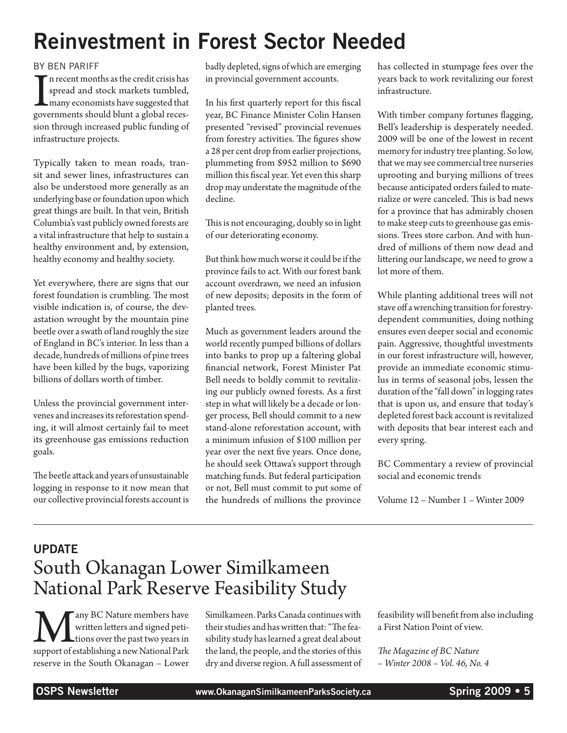# Reinvestment in Forest Sector Needed

#### by Ben Pariff

I<sub>gove</sub> n recent months as the credit crisis has spread and stock markets tumbled, many economists have suggested that governments should blunt a global recession through increased public funding of infrastructure projects.

Typically taken to mean roads, transit and sewer lines, infrastructures can also be understood more generally as an underlying base or foundation upon which great things are built. In that vein, British Columbia's vast publicly owned forests are a vital infrastructure that help to sustain a healthy environment and, by extension, healthy economy and healthy society.

Yet everywhere, there are signs that our forest foundation is crumbling. The most visible indication is, of course, the devastation wrought by the mountain pine beetle over a swath of land roughly the size of England in BC's interior. In less than a decade, hundreds of millions of pine trees have been killed by the bugs, vaporizing billions of dollars worth of timber.

Unless the provincial government intervenes and increases its reforestation spending, it will almost certainly fail to meet its greenhouse gas emissions reduction goals.

The beetle attack and years of unsustainable logging in response to it now mean that our collective provincial forests account is

badly depleted, signs of which are emerging in provincial government accounts.

In his first quarterly report for this fiscal year, BC Finance Minister Colin Hansen presented "revised" provincial revenues from forestry activities. The figures show a 28 per cent drop from earlier projections, plummeting from \$952 million to \$690 million this fiscal year. Yet even this sharp drop may understate the magnitude of the decline.

This is not encouraging, doubly so in light of our deteriorating economy.

But think how much worse it could be if the province fails to act. With our forest bank account overdrawn, we need an infusion of new deposits; deposits in the form of planted trees.

Much as government leaders around the world recently pumped billions of dollars into banks to prop up a faltering global financial network, Forest Minister Pat Bell needs to boldly commit to revitalizing our publicly owned forests. As a first step in what will likely be a decade or longer process, Bell should commit to a new stand-alone reforestation account, with a minimum infusion of \$100 million per year over the next five years. Once done, he should seek Ottawa's support through matching funds. But federal participation or not, Bell must commit to put some of the hundreds of millions the province has collected in stumpage fees over the years back to work revitalizing our forest infrastructure.

With timber company fortunes flagging, Bell's leadership is desperately needed. 2009 will be one of the lowest in recent memory for industry tree planting. So low, that we may see commercial tree nurseries uprooting and burying millions of trees because anticipated orders failed to materialize or were canceled. This is bad news for a province that has admirably chosen to make steep cuts to greenhouse gas emissions. Trees store carbon. And with hundred of millions of them now dead and littering our landscape, we need to grow a lot more of them.

While planting additional trees will not stave off a wrenching transition for forestrydependent communities, doing nothing ensures even deeper social and economic pain. Aggressive, thoughtful investments in our forest infrastructure will, however, provide an immediate economic stimulus in terms of seasonal jobs, lessen the duration of the "fall down" in logging rates that is upon us, and ensure that today's depleted forest back account is revitalized with deposits that bear interest each and every spring.

BC Commentary a review of provincial social and economic trends

Volume 12 – Number 1 – Winter 2009

## **UPDATE** South Okanagan Lower Similkameen National Park Reserve Feasibility Study

**MA** any BC Nature members have<br>written letters and signed peti-<br>tions over the past two years in<br>support of establishing a new National Park written letters and signed peti-**L**tions over the past two years in reserve in the South Okanagan – Lower

Similkameen. Parks Canada continues with their studies and has written that: "The feasibility study has learned a great deal about the land, the people, and the stories of this dry and diverse region. A full assessment of

feasibility will benefit from also including a First Nation Point of view.

*The Magazine of BC Nature – Winter 2008 – Vol. 46, No. 4*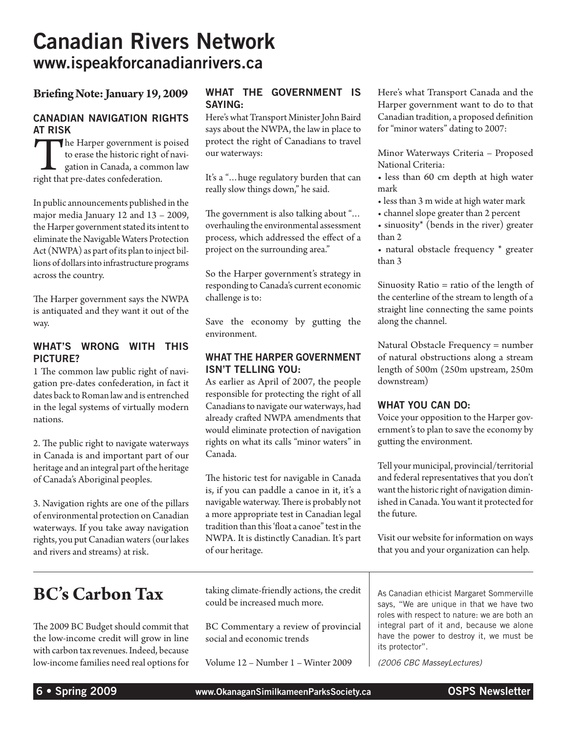# Canadian Rivers Network www.ispeakforcanadianrivers.ca

#### **Briefing Note: January 19, 2009**

#### Canadian Navigation Rights at Risk

The Harper government is poised to erase the historic right of navigation in Canada, a common law right that pre-dates confederation.

In public announcements published in the major media January 12 and 13 – 2009, the Harper government stated its intent to eliminate the Navigable Waters Protection Act (NWPA) as part of its plan to inject billions of dollars into infrastructure programs across the country.

The Harper government says the NWPA is antiquated and they want it out of the way.

#### WHAT'S WRONG WITH THIS PICTURE?

1 The common law public right of navigation pre-dates confederation, in fact it dates back to Roman law and is entrenched in the legal systems of virtually modern nations.

2. The public right to navigate waterways in Canada is and important part of our heritage and an integral part of the heritage of Canada's Aboriginal peoples.

3. Navigation rights are one of the pillars of environmental protection on Canadian waterways. If you take away navigation rights, you put Canadian waters (our lakes and rivers and streams) at risk.

## **BC's Carbon Tax**

The 2009 BC Budget should commit that the low-income credit will grow in line with carbon tax revenues. Indeed, because low-income families need real options for

#### WHAT THE GOVERNMENT IS SAYING:

Here's what Transport Minister John Baird says about the NWPA, the law in place to protect the right of Canadians to travel our waterways:

It's a "…huge regulatory burden that can really slow things down," he said.

The government is also talking about "… overhauling the environmental assessment process, which addressed the effect of a project on the surrounding area."

So the Harper government's strategy in responding to Canada's current economic challenge is to:

Save the economy by gutting the environment.

#### WHAT THE HARPER GOVERNMENT ISN'T TELLING YOU:

As earlier as April of 2007, the people responsible for protecting the right of all Canadians to navigate our waterways, had already crafted NWPA amendments that would eliminate protection of navigation rights on what its calls "minor waters" in Canada.

The historic test for navigable in Canada is, if you can paddle a canoe in it, it's a navigable waterway. There is probably not a more appropriate test in Canadian legal tradition than this 'float a canoe" test in the NWPA. It is distinctly Canadian. It's part of our heritage.

Here's what Transport Canada and the Harper government want to do to that Canadian tradition, a proposed definition for "minor waters" dating to 2007:

Minor Waterways Criteria – Proposed National Criteria:

- less than 60 cm depth at high water mark
- less than 3 m wide at high water mark
- channel slope greater than 2 percent
- sinuosity\* (bends in the river) greater than 2
- natural obstacle frequency \* greater than 3

Sinuosity Ratio = ratio of the length of the centerline of the stream to length of a straight line connecting the same points along the channel.

Natural Obstacle Frequency = number of natural obstructions along a stream length of 500m (250m upstream, 250m downstream)

#### WHAT YOU CAN DO:

Voice your opposition to the Harper government's to plan to save the economy by gutting the environment.

Tell your municipal, provincial/territorial and federal representatives that you don't want the historic right of navigation diminished in Canada. You want it protected for the future.

Visit our website for information on ways that you and your organization can help.

taking climate-friendly actions, the credit could be increased much more.

BC Commentary a review of provincial social and economic trends

Volume 12 – Number 1 – Winter 2009

As Canadian ethicist Margaret Sommerville says, "We are unique in that we have two roles with respect to nature: we are both an integral part of it and, because we alone have the power to destroy it, we must be its protector".

*(2006 CBC MasseyLectures)*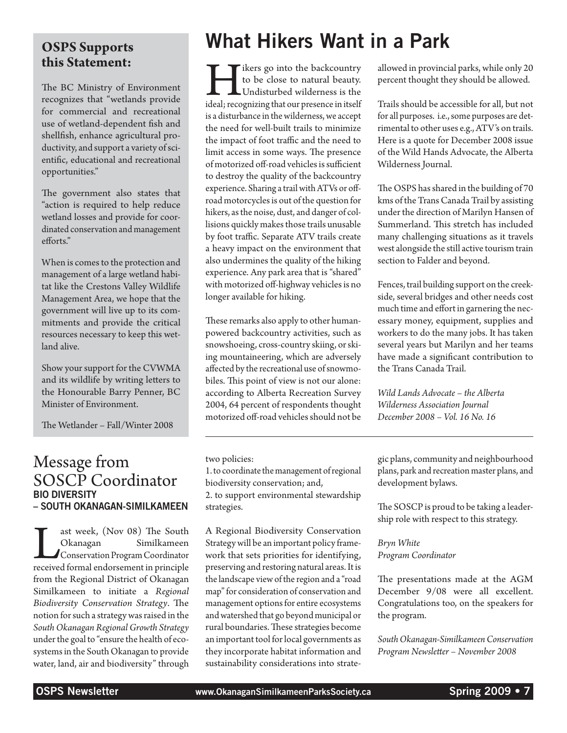# **this Statement:**

The BC Ministry of Environment recognizes that "wetlands provide for commercial and recreational use of wetland-dependent fish and shellfish, enhance agricultural productivity, and support a variety of scientific, educational and recreational opportunities."

The government also states that "action is required to help reduce wetland losses and provide for coordinated conservation and management efforts."

When is comes to the protection and management of a large wetland habitat like the Crestons Valley Wildlife Management Area, we hope that the government will live up to its commitments and provide the critical resources necessary to keep this wetland alive.

Show your support for the CVWMA and its wildlife by writing letters to the Honourable Barry Penner, BC Minister of Environment.

The Wetlander – Fall/Winter 2008

### Message from SOSCP Coordinator Bio Diversity – South Okanagan-Similkameen

Last week, (Nov 08) The South<br>
Okanagan Similkameen<br>
Conservation Program Coordinator<br>
received formal endorsement in principle Okanagan Similkameen Conservation Program Coordinator from the Regional District of Okanagan Similkameen to initiate a *Regional Biodiversity Conservation Strategy*. The notion for such a strategy was raised in the *South Okanagan Regional Growth Strategy* under the goal to "ensure the health of ecosystems in the South Okanagan to provide water, land, air and biodiversity" through

# **OSPS Supports** What Hikers Want in a Park

Tikers go into the backcountry<br>to be close to natural beauty.<br>Undisturbed wilderness is the<br>ideal; recognizing that our presence in itself to be close to natural beauty. Undisturbed wilderness is the is a disturbance in the wilderness, we accept the need for well-built trails to minimize the impact of foot traffic and the need to limit access in some ways. The presence of motorized off-road vehicles is sufficient to destroy the quality of the backcountry experience. Sharing a trail with ATVs or offroad motorcycles is out of the question for hikers, as the noise, dust, and danger of collisions quickly makes those trails unusable by foot traffic. Separate ATV trails create a heavy impact on the environment that also undermines the quality of the hiking experience. Any park area that is "shared" with motorized off-highway vehicles is no longer available for hiking.

These remarks also apply to other humanpowered backcountry activities, such as snowshoeing, cross-country skiing, or skiing mountaineering, which are adversely affected by the recreational use of snowmobiles. This point of view is not our alone: according to Alberta Recreation Survey 2004, 64 percent of respondents thought motorized off-road vehicles should not be

two policies:

1. to coordinate the management of regional biodiversity conservation; and, 2. to support environmental stewardship strategies.

A Regional Biodiversity Conservation Strategy will be an important policy framework that sets priorities for identifying, preserving and restoring natural areas. It is the landscape view of the region and a "road map" for consideration of conservation and management options for entire ecosystems and watershed that go beyond municipal or rural boundaries. These strategies become an important tool for local governments as they incorporate habitat information and sustainability considerations into strateallowed in provincial parks, while only 20 percent thought they should be allowed.

Trails should be accessible for all, but not for all purposes. i.e., some purposes are detrimental to other uses e.g., ATV's on trails. Here is a quote for December 2008 issue of the Wild Hands Advocate, the Alberta Wilderness Journal.

The OSPS has shared in the building of 70 kms of the Trans Canada Trail by assisting under the direction of Marilyn Hansen of Summerland. This stretch has included many challenging situations as it travels west alongside the still active tourism train section to Falder and beyond.

Fences, trail building support on the creekside, several bridges and other needs cost much time and effort in garnering the necessary money, equipment, supplies and workers to do the many jobs. It has taken several years but Marilyn and her teams have made a significant contribution to the Trans Canada Trail.

*Wild Lands Advocate – the Alberta Wilderness Association Journal December 2008 – Vol. 16 No. 16*

gic plans, community and neighbourhood plans, park and recreation master plans, and development bylaws.

The SOSCP is proud to be taking a leadership role with respect to this strategy.

*Bryn White Program Coordinator*

The presentations made at the AGM December 9/08 were all excellent. Congratulations too, on the speakers for the program.

*South Okanagan-Similkameen Conservation Program Newsletter – November 2008*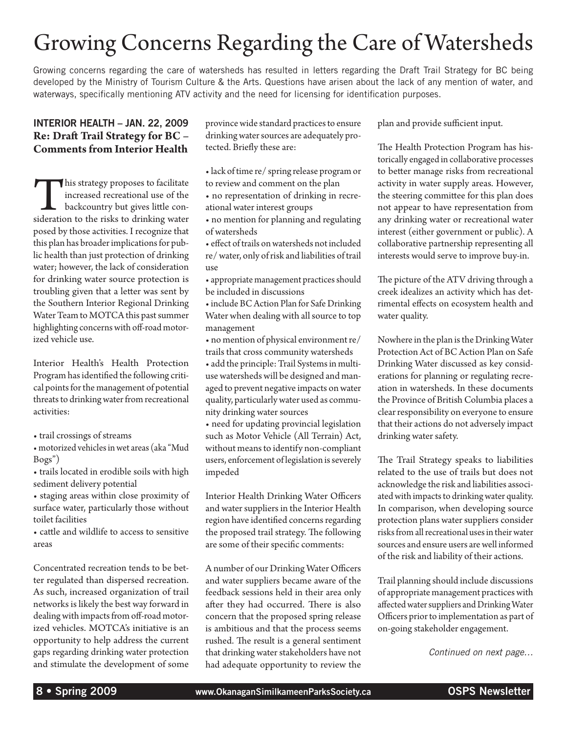# Growing Concerns Regarding the Care of Watersheds

Growing concerns regarding the care of watersheds has resulted in letters regarding the Draft Trail Strategy for BC being developed by the Ministry of Tourism Culture & the Arts. Questions have arisen about the lack of any mention of water, and waterways, specifically mentioning ATV activity and the need for licensing for identification purposes.

#### Interior Health – JAN. 22, 2009 **Re: Draft Trail Strategy for BC – Comments from Interior Health**

This strategy proposes to facilitate increased recreational use of the backcountry but gives little consideration to the risks to drinking water increased recreational use of the backcountry but gives little conposed by those activities. I recognize that this plan has broader implications for public health than just protection of drinking water; however, the lack of consideration for drinking water source protection is troubling given that a letter was sent by the Southern Interior Regional Drinking Water Team to MOTCA this past summer highlighting concerns with off-road motorized vehicle use.

Interior Health's Health Protection Program has identified the following critical points for the management of potential threats to drinking water from recreational activities:

• trail crossings of streams

• motorized vehicles in wet areas (aka "Mud Bogs")

• trails located in erodible soils with high sediment delivery potential

• staging areas within close proximity of surface water, particularly those without toilet facilities

• cattle and wildlife to access to sensitive areas

Concentrated recreation tends to be better regulated than dispersed recreation. As such, increased organization of trail networks is likely the best way forward in dealing with impacts from off-road motorized vehicles. MOTCA's initiative is an opportunity to help address the current gaps regarding drinking water protection and stimulate the development of some province wide standard practices to ensure drinking water sources are adequately protected. Briefly these are:

- lack of time re/ spring release program or to review and comment on the plan
- no representation of drinking in recreational water interest groups
- no mention for planning and regulating of watersheds
- effect of trails on watersheds not included re/ water, only of risk and liabilities of trail use
- appropriate management practices should be included in discussions

• include BC Action Plan for Safe Drinking Water when dealing with all source to top management

• no mention of physical environment re/ trails that cross community watersheds

• add the principle: Trail Systems in multiuse watersheds will be designed and managed to prevent negative impacts on water quality, particularly water used as community drinking water sources

• need for updating provincial legislation such as Motor Vehicle (All Terrain) Act, without means to identify non-compliant users, enforcement of legislation is severely impeded

Interior Health Drinking Water Officers and water suppliers in the Interior Health region have identified concerns regarding the proposed trail strategy. The following are some of their specific comments:

A number of our Drinking Water Officers and water suppliers became aware of the feedback sessions held in their area only after they had occurred. There is also concern that the proposed spring release is ambitious and that the process seems rushed. The result is a general sentiment that drinking water stakeholders have not had adequate opportunity to review the

plan and provide sufficient input.

The Health Protection Program has historically engaged in collaborative processes to better manage risks from recreational activity in water supply areas. However, the steering committee for this plan does not appear to have representation from any drinking water or recreational water interest (either government or public). A collaborative partnership representing all interests would serve to improve buy-in.

The picture of the ATV driving through a creek idealizes an activity which has detrimental effects on ecosystem health and water quality.

Nowhere in the plan is the Drinking Water Protection Act of BC Action Plan on Safe Drinking Water discussed as key considerations for planning or regulating recreation in watersheds. In these documents the Province of British Columbia places a clear responsibility on everyone to ensure that their actions do not adversely impact drinking water safety.

The Trail Strategy speaks to liabilities related to the use of trails but does not acknowledge the risk and liabilities associated with impacts to drinking water quality. In comparison, when developing source protection plans water suppliers consider risks from all recreational uses in their water sources and ensure users are well informed of the risk and liability of their actions.

Trail planning should include discussions of appropriate management practices with affected water suppliers and Drinking Water Officers prior to implementation as part of on-going stakeholder engagement.

*Continued on next page…*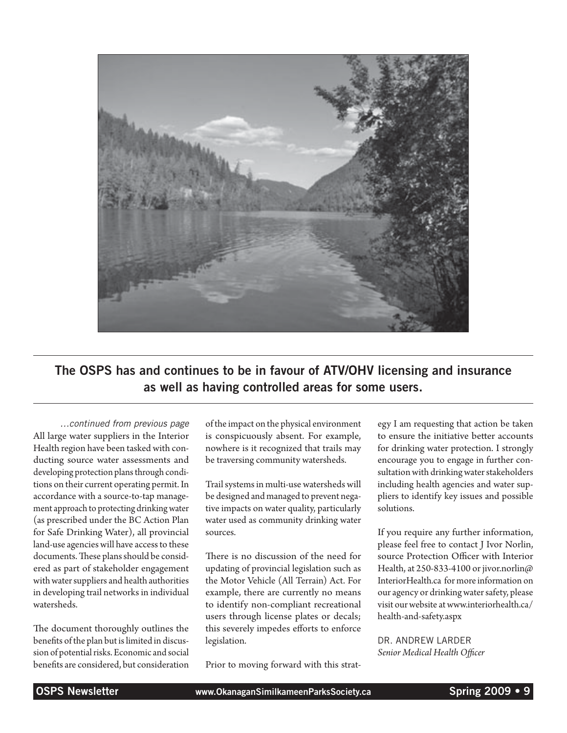

The OSPS has and continues to be in favour of ATV/OHV licensing and insurance as well as having controlled areas for some users.

*…continued from previous page* All large water suppliers in the Interior Health region have been tasked with conducting source water assessments and developing protection plans through conditions on their current operating permit. In accordance with a source-to-tap management approach to protecting drinking water (as prescribed under the BC Action Plan for Safe Drinking Water), all provincial land-use agencies will have access to these documents. These plans should be considered as part of stakeholder engagement with water suppliers and health authorities in developing trail networks in individual watersheds.

The document thoroughly outlines the benefits of the plan but is limited in discussion of potential risks. Economic and social benefits are considered, but consideration of the impact on the physical environment is conspicuously absent. For example, nowhere is it recognized that trails may be traversing community watersheds.

Trail systems in multi-use watersheds will be designed and managed to prevent negative impacts on water quality, particularly water used as community drinking water sources.

There is no discussion of the need for updating of provincial legislation such as the Motor Vehicle (All Terrain) Act. For example, there are currently no means to identify non-compliant recreational users through license plates or decals; this severely impedes efforts to enforce legislation.

Prior to moving forward with this strat-

egy I am requesting that action be taken to ensure the initiative better accounts for drinking water protection. I strongly encourage you to engage in further consultation with drinking water stakeholders including health agencies and water suppliers to identify key issues and possible solutions.

If you require any further information, please feel free to contact J Ivor Norlin, source Protection Officer with Interior Health, at 250-833-4100 or jivor.norlin@ InteriorHealth.ca for more information on our agency or drinking water safety, please visit our website at www.interiorhealth.ca/ health-and-safety.aspx

Dr. Andrew Larder *Senior Medical Health Officer*